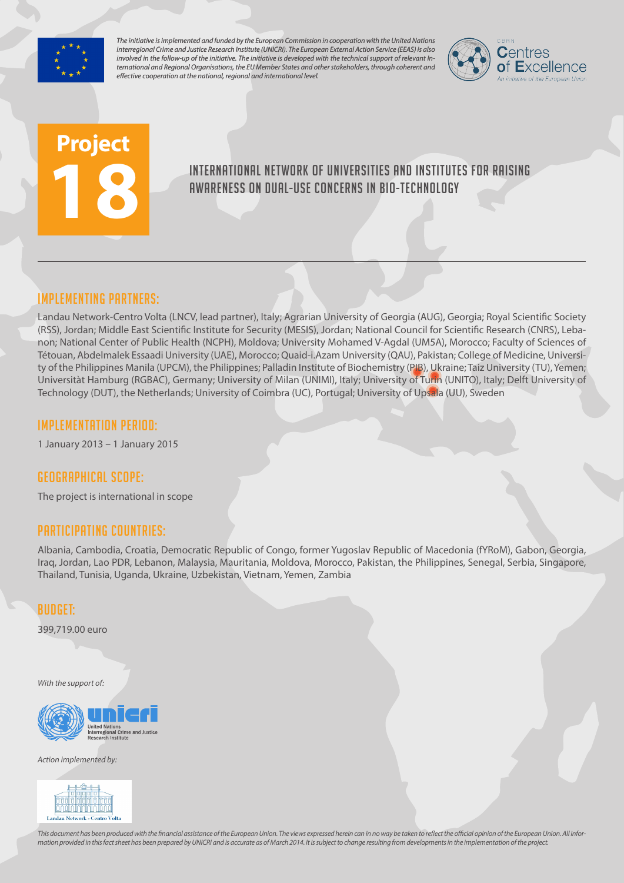

*The initiative is implemented and funded by the European Commission in cooperation with the United Nations Interregional Crime and Justice Research Institute (UNICRI). The European External Action Service (EEAS) is also involved in the follow-up of the initiative. The initiative is developed with the technical support of relevant International and Regional Organisations, the EU Member States and other stakeholders, through coherent and effective cooperation at the national, regional and international level.*



# **Project 18**

# International network of universities and institutes for raising awareness on dual-use concerns in bio-technology

# Implementing partners:

Landau Network-Centro Volta (LNCV, lead partner), Italy; Agrarian University of Georgia (AUG), Georgia; Royal Scientific Society (RSS), Jordan; Middle East Scientific Institute for Security (MESIS), Jordan; National Council for Scientific Research (CNRS), Lebanon; National Center of Public Health (NCPH), Moldova; University Mohamed V-Agdal (UM5A), Morocco; Faculty of Sciences of Tétouan, Abdelmalek Essaadi University (UAE), Morocco; Quaid-i.Azam University (QAU), Pakistan; College of Medicine, University of the Philippines Manila (UPCM), the Philippines; Palladin Institute of Biochemistry (PIB), Ukraine; Taiz University (TU), Yemen; Universitàt Hamburg (RGBAC), Germany; University of Milan (UNIMI), Italy; University of Turin (UNITO), Italy; Delft University of Technology (DUT), the Netherlands; University of Coimbra (UC), Portugal; University of Upsala (UU), Sweden

## Implementation Period:

1 January 2013 – 1 January 2015

## Geographical scope:

The project is international in scope

## Participating countries:

Albania, Cambodia, Croatia, Democratic Republic of Congo, former Yugoslav Republic of Macedonia (fYRoM), Gabon, Georgia, Iraq, Jordan, Lao PDR, Lebanon, Malaysia, Mauritania, Moldova, Morocco, Pakistan, the Philippines, Senegal, Serbia, Singapore, Thailand, Tunisia, Uganda, Ukraine, Uzbekistan, Vietnam, Yemen, Zambia

## Budget:

399,719.00 euro

*With the support of:*



*Action implemented by:*



*This document has been produced with the financial assistance of the European Union. The views expressed herein can in no way be taken to reflect the official opinion of the European Union. All information provided in this fact sheet has been prepared by UNICRI and is accurate as of March 2014. It is subject to change resulting from developments in the implementation of the project.*